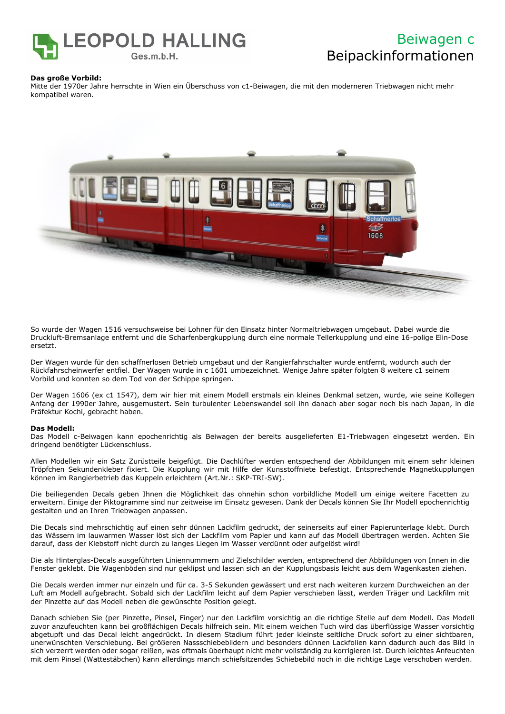

## Beiwagen c Beipackinformationen

### **Das große Vorbild:**

Mitte der 1970er Jahre herrschte in Wien ein Überschuss von c1-Beiwagen, die mit den moderneren Triebwagen nicht mehr kompatibel waren.



So wurde der Wagen 1516 versuchsweise bei Lohner für den Einsatz hinter Normaltriebwagen umgebaut. Dabei wurde die Druckluft-Bremsanlage entfernt und die Scharfenbergkupplung durch eine normale Tellerkupplung und eine 16-polige Elin-Dose ersetzt.

Der Wagen wurde für den schaffnerlosen Betrieb umgebaut und der Rangierfahrschalter wurde entfernt, wodurch auch der Rückfahrscheinwerfer entfiel. Der Wagen wurde in c 1601 umbezeichnet. Wenige Jahre später folgten 8 weitere c1 seinem Vorbild und konnten so dem Tod von der Schippe springen.

Der Wagen 1606 (ex c1 1547), dem wir hier mit einem Modell erstmals ein kleines Denkmal setzen, wurde, wie seine Kollegen Anfang der 1990er Jahre, ausgemustert. Sein turbulenter Lebenswandel soll ihn danach aber sogar noch bis nach Japan, in die Präfektur Kochi, gebracht haben.

### **Das Modell:**

Das Modell c-Beiwagen kann epochenrichtig als Beiwagen der bereits ausgelieferten E1-Triebwagen eingesetzt werden. Ein dringend benötigter Lückenschluss.

Allen Modellen wir ein Satz Zurüstteile beigefügt. Die Dachlüfter werden entspechend der Abbildungen mit einem sehr kleinen Tröpfchen Sekundenkleber fixiert. Die Kupplung wir mit Hilfe der Kunsstoffniete befestigt. Entsprechende Magnetkupplungen können im Rangierbetrieb das Kuppeln erleichtern (Art.Nr.: SKP-TRI-SW).

Die beiliegenden Decals geben Ihnen die Möglichkeit das ohnehin schon vorbildliche Modell um einige weitere Facetten zu erweitern. Einige der Piktogramme sind nur zeitweise im Einsatz gewesen. Dank der Decals können Sie Ihr Modell epochenrichtig gestalten und an Ihren Triebwagen anpassen.

Die Decals sind mehrschichtig auf einen sehr dünnen Lackfilm gedruckt, der seinerseits auf einer Papierunterlage klebt. Durch das Wässern im lauwarmen Wasser löst sich der Lackfilm vom Papier und kann auf das Modell übertragen werden. Achten Sie darauf, dass der Klebstoff nicht durch zu langes Liegen im Wasser verdünnt oder aufgelöst wird!

Die als Hinterglas-Decals ausgeführten Liniennummern und Zielschilder werden, entsprechend der Abbildungen von Innen in die Fenster geklebt. Die Wagenböden sind nur geklipst und lassen sich an der Kupplungsbasis leicht aus dem Wagenkasten ziehen.

Die Decals werden immer nur einzeln und für ca. 3-5 Sekunden gewässert und erst nach weiteren kurzem Durchweichen an der Luft am Modell aufgebracht. Sobald sich der Lackfilm leicht auf dem Papier verschieben lässt, werden Träger und Lackfilm mit der Pinzette auf das Modell neben die gewünschte Position gelegt.

Danach schieben Sie (per Pinzette, Pinsel, Finger) nur den Lackfilm vorsichtig an die richtige Stelle auf dem Modell. Das Modell zuvor anzufeuchten kann bei großflächigen Decals hilfreich sein. Mit einem weichen Tuch wird das überflüssige Wasser vorsichtig abgetupft und das Decal leicht angedrückt. In diesem Stadium führt jeder kleinste seitliche Druck sofort zu einer sichtbaren, unerwünschten Verschiebung. Bei größeren Nassschiebebildern und besonders dünnen Lackfolien kann dadurch auch das Bild in sich verzerrt werden oder sogar reißen, was oftmals überhaupt nicht mehr vollständig zu korrigieren ist. Durch leichtes Anfeuchten mit dem Pinsel (Wattestäbchen) kann allerdings manch schiefsitzendes Schiebebild noch in die richtige Lage verschoben werden.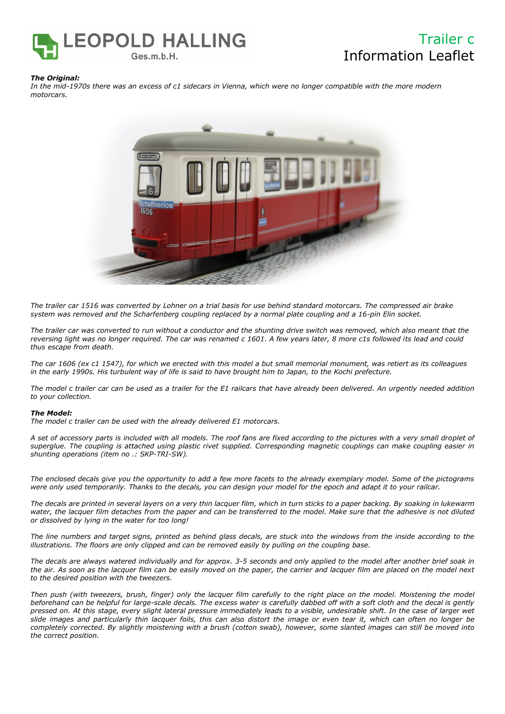

## Trailer c Information Leaflet

### *The Original:*

*In the mid-1970s there was an excess of c1 sidecars in Vienna, which were no longer compatible with the more modern motorcars.*



*The trailer car 1516 was converted by Lohner on a trial basis for use behind standard motorcars. The compressed air brake system was removed and the Scharfenberg coupling replaced by a normal plate coupling and a 16-pin Elin socket.*

*The trailer car was converted to run without a conductor and the shunting drive switch was removed, which also meant that the*  reversing light was no longer required. The car was renamed c 1601. A few years later, 8 more c1s followed its lead and could *thus escape from death.*

*The car 1606 (ex c1 1547), for which we erected with this model a but small memorial monument, was retiert as its colleagues in the early 1990s. His turbulent way of life is said to have brought him to Japan, to the Kochi prefecture.* 

*The model c trailer car can be used as a trailer for the E1 railcars that have already been delivered. An urgently needed addition to your collection.* 

### *The Model:*

*The model c trailer can be used with the already delivered E1 motorcars.* 

*A set of accessory parts is included with all models. The roof fans are fixed according to the pictures with a very small droplet of superglue. The coupling is attached using plastic rivet supplied. Corresponding magnetic couplings can make coupling easier in shunting operations (item no .: SKP-TRI-SW).*

*The enclosed decals give you the opportunity to add a few more facets to the already exemplary model. Some of the pictograms were only used temporarily. Thanks to the decals, you can design your model for the epoch and adapt it to your railcar.*

*The decals are printed in several layers on a very thin lacquer film, which in turn sticks to a paper backing. By soaking in lukewarm water, the lacquer film detaches from the paper and can be transferred to the model. Make sure that the adhesive is not diluted or dissolved by lying in the water for too long!*

*The line numbers and target signs, printed as behind glass decals, are stuck into the windows from the inside according to the illustrations. The floors are only clipped and can be removed easily by pulling on the coupling base.*

*The decals are always watered individually and for approx. 3-5 seconds and only applied to the model after another brief soak in the air. As soon as the lacquer film can be easily moved on the paper, the carrier and lacquer film are placed on the model next to the desired position with the tweezers.*

*Then push (with tweezers, brush, finger) only the lacquer film carefully to the right place on the model. Moistening the model beforehand can be helpful for large-scale decals. The excess water is carefully dabbed off with a soft cloth and the decal is gently pressed on. At this stage, every slight lateral pressure immediately leads to a visible, undesirable shift. In the case of larger wet slide images and particularly thin lacquer foils, this can also distort the image or even tear it, which can often no longer be completely corrected. By slightly moistening with a brush (cotton swab), however, some slanted images can still be moved into the correct position.*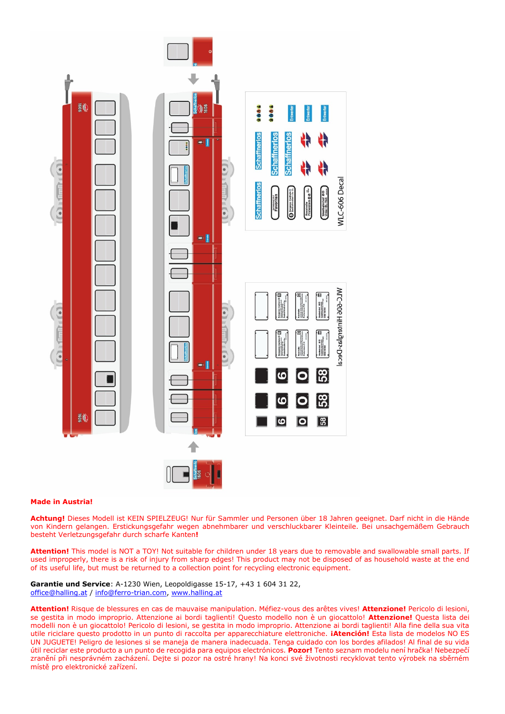

### **Made in Austria!**

**Achtung!** Dieses Modell ist KEIN SPIELZEUG! Nur für Sammler und Personen über 18 Jahren geeignet. Darf nicht in die Hände von Kindern gelangen. Erstickungsgefahr wegen abnehmbarer und verschluckbarer Kleinteile. Bei unsachgemäßem Gebrauch besteht Verletzungsgefahr durch scharfe Kanten**!** 

**Attention!** This model is NOT a TOY! Not suitable for children under 18 years due to removable and swallowable small parts. If used improperly, there is a risk of injury from sharp edges! This product may not be disposed of as household waste at the end of its useful life, but must be returned to a collection point for recycling electronic equipment.

**Garantie und Service**: A-1230 Wien, Leopoldigasse 15-17, +43 1 604 31 22, [office@halling.at](mailto:office@halling.at) / info@ferro-trian.com, [www.halling.at](http://www.halling.at/)

**Attention!** Risque de blessures en cas de mauvaise manipulation. Méfiez-vous des arêtes vives! **Attenzione!** Pericolo di lesioni, se gestita in modo improprio. Attenzione ai bordi taglienti! Questo modello non è un giocattolo! **Attenzione!** Questa lista dei modelli non è un giocattolo! Pericolo di lesioni, se gestita in modo improprio. Attenzione ai bordi taglienti! Alla fine della sua vita utile riciclare questo prodotto in un punto di raccolta per apparecchiature elettroniche. **¡Atención!** Esta lista de modelos NO ES UN JUGUETE! Peligro de lesiones si se maneja de manera inadecuada. Tenga cuidado con los bordes afilados! Al final de su vida útil reciclar este producto a un punto de recogida para equipos electrónicos. **Pozor!** Tento seznam modelu není hračka! Nebezpečí zranění při nesprávném zacházení. Dejte si pozor na ostré hrany! Na konci své životnosti recyklovat tento výrobek na sběrném místě pro elektronické zařízení.